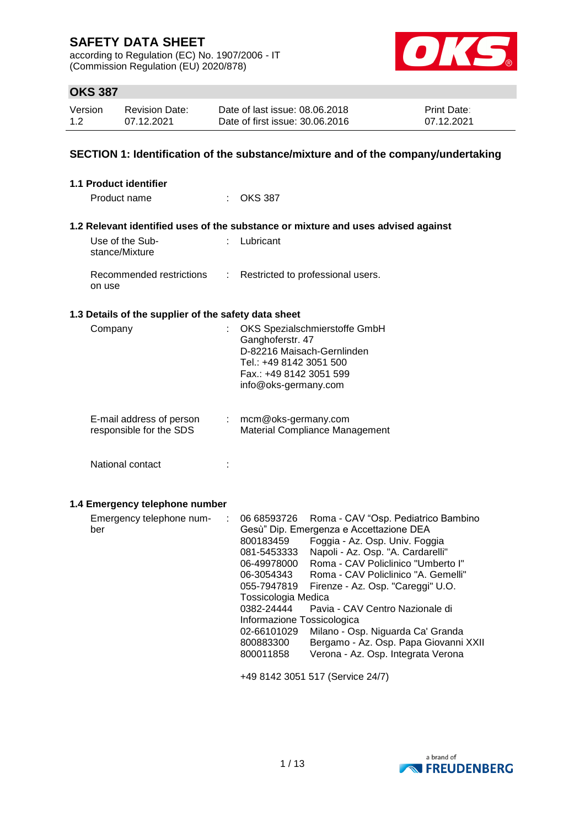according to Regulation (EC) No. 1907/2006 - IT (Commission Regulation (EU) 2020/878)



## **OKS 387**

| Version | <b>Revision Date:</b> | Date of last issue: 08.06.2018  | <b>Print Date:</b> |
|---------|-----------------------|---------------------------------|--------------------|
| 1.2     | 07.12.2021            | Date of first issue: 30.06.2016 | 07.12.2021         |

## **SECTION 1: Identification of the substance/mixture and of the company/undertaking**

| 1.1 Product identifier                               |                                                                                                                                                                                                                                                                                                                                                                                                                                                                                                                                                                                                                                                                       |
|------------------------------------------------------|-----------------------------------------------------------------------------------------------------------------------------------------------------------------------------------------------------------------------------------------------------------------------------------------------------------------------------------------------------------------------------------------------------------------------------------------------------------------------------------------------------------------------------------------------------------------------------------------------------------------------------------------------------------------------|
| Product name<br>t in                                 | <b>OKS 387</b>                                                                                                                                                                                                                                                                                                                                                                                                                                                                                                                                                                                                                                                        |
|                                                      | 1.2 Relevant identified uses of the substance or mixture and uses advised against                                                                                                                                                                                                                                                                                                                                                                                                                                                                                                                                                                                     |
| Use of the Sub-<br>stance/Mixture                    | : Lubricant                                                                                                                                                                                                                                                                                                                                                                                                                                                                                                                                                                                                                                                           |
| Recommended restrictions<br>÷<br>on use              | Restricted to professional users.                                                                                                                                                                                                                                                                                                                                                                                                                                                                                                                                                                                                                                     |
| 1.3 Details of the supplier of the safety data sheet |                                                                                                                                                                                                                                                                                                                                                                                                                                                                                                                                                                                                                                                                       |
| Company<br>÷                                         | OKS Spezialschmierstoffe GmbH<br>Ganghoferstr. 47<br>D-82216 Maisach-Gernlinden<br>Tel.: +49 8142 3051 500<br>Fax.: +49 8142 3051 599<br>info@oks-germany.com                                                                                                                                                                                                                                                                                                                                                                                                                                                                                                         |
| E-mail address of person<br>responsible for the SDS  | mcm@oks-germany.com<br>Material Compliance Management                                                                                                                                                                                                                                                                                                                                                                                                                                                                                                                                                                                                                 |
| National contact<br>÷                                |                                                                                                                                                                                                                                                                                                                                                                                                                                                                                                                                                                                                                                                                       |
| 1.4 Emergency telephone number                       |                                                                                                                                                                                                                                                                                                                                                                                                                                                                                                                                                                                                                                                                       |
| Emergency telephone num-<br>÷<br>ber                 | 06 68593726<br>Roma - CAV "Osp. Pediatrico Bambino<br>Gesù" Dip. Emergenza e Accettazione DEA<br>800183459<br>Foggia - Az. Osp. Univ. Foggia<br>Napoli - Az. Osp. "A. Cardarelli"<br>081-5453333<br>Roma - CAV Policlinico "Umberto I"<br>06-49978000<br>Roma - CAV Policlinico "A. Gemelli"<br>06-3054343<br>055-7947819<br>Firenze - Az. Osp. "Careggi" U.O.<br>Tossicologia Medica<br>0382-24444<br>Pavia - CAV Centro Nazionale di<br>Informazione Tossicologica<br>Milano - Osp. Niguarda Ca' Granda<br>02-66101029<br>Bergamo - Az. Osp. Papa Giovanni XXII<br>800883300<br>Verona - Az. Osp. Integrata Verona<br>800011858<br>+49 8142 3051 517 (Service 24/7) |

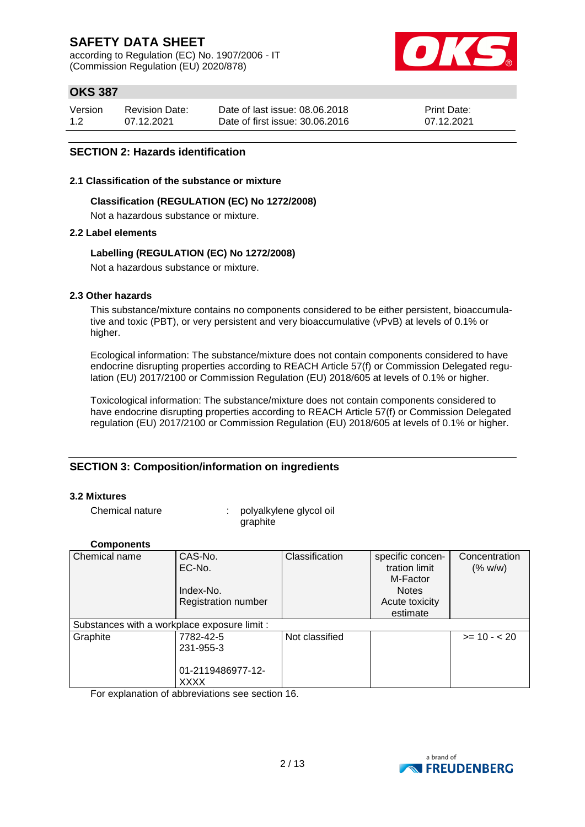according to Regulation (EC) No. 1907/2006 - IT (Commission Regulation (EU) 2020/878)



## **OKS 387**

| Version | <b>Revision Date:</b> | Date of last issue: 08.06.2018  | <b>Print Date:</b> |
|---------|-----------------------|---------------------------------|--------------------|
| 1.2     | 07.12.2021            | Date of first issue: 30.06.2016 | 07.12.2021         |

## **SECTION 2: Hazards identification**

#### **2.1 Classification of the substance or mixture**

#### **Classification (REGULATION (EC) No 1272/2008)**

Not a hazardous substance or mixture.

## **2.2 Label elements**

## **Labelling (REGULATION (EC) No 1272/2008)**

Not a hazardous substance or mixture.

## **2.3 Other hazards**

This substance/mixture contains no components considered to be either persistent, bioaccumulative and toxic (PBT), or very persistent and very bioaccumulative (vPvB) at levels of 0.1% or higher.

Ecological information: The substance/mixture does not contain components considered to have endocrine disrupting properties according to REACH Article 57(f) or Commission Delegated regulation (EU) 2017/2100 or Commission Regulation (EU) 2018/605 at levels of 0.1% or higher.

Toxicological information: The substance/mixture does not contain components considered to have endocrine disrupting properties according to REACH Article 57(f) or Commission Delegated regulation (EU) 2017/2100 or Commission Regulation (EU) 2018/605 at levels of 0.1% or higher.

## **SECTION 3: Composition/information on ingredients**

#### **3.2 Mixtures**

Chemical nature : polyalkylene glycol oil graphite

## **Components**

| Chemical name                                | CAS-No.                    | Classification | specific concen- | Concentration |
|----------------------------------------------|----------------------------|----------------|------------------|---------------|
|                                              | EC-No.                     |                | tration limit    | (% w/w)       |
|                                              |                            |                | M-Factor         |               |
|                                              | Index-No.                  |                | <b>Notes</b>     |               |
|                                              | <b>Registration number</b> |                | Acute toxicity   |               |
|                                              |                            |                | estimate         |               |
| Substances with a workplace exposure limit : |                            |                |                  |               |
| Graphite                                     | 7782-42-5                  | Not classified |                  | $>= 10 - 20$  |
|                                              | 231-955-3                  |                |                  |               |
|                                              |                            |                |                  |               |
|                                              | 01-2119486977-12-          |                |                  |               |
|                                              | <b>XXXX</b>                |                |                  |               |

For explanation of abbreviations see section 16.

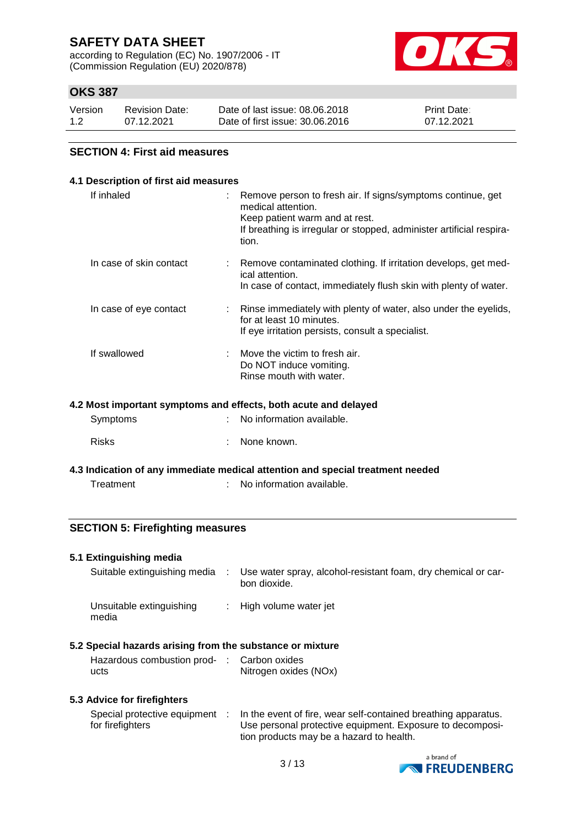according to Regulation (EC) No. 1907/2006 - IT (Commission Regulation (EU) 2020/878)



## **OKS 387**

| Version | <b>Revision Date:</b> | Date of last issue: 08.06.2018  | <b>Print Date:</b> |
|---------|-----------------------|---------------------------------|--------------------|
| 1.2     | 07.12.2021            | Date of first issue: 30.06.2016 | 07.12.2021         |

#### **SECTION 4: First aid measures**

| 4.1 Description of first aid measures |                                                                                                                                                                                                      |
|---------------------------------------|------------------------------------------------------------------------------------------------------------------------------------------------------------------------------------------------------|
| If inhaled                            | Remove person to fresh air. If signs/symptoms continue, get<br>medical attention.<br>Keep patient warm and at rest.<br>If breathing is irregular or stopped, administer artificial respira-<br>tion. |
| In case of skin contact               | Remove contaminated clothing. If irritation develops, get med-<br>ical attention.<br>In case of contact, immediately flush skin with plenty of water.                                                |
| In case of eye contact                | Rinse immediately with plenty of water, also under the eyelids,<br>for at least 10 minutes.<br>If eye irritation persists, consult a specialist.                                                     |
| If swallowed                          | Move the victim to fresh air.<br>Do NOT induce vomiting.<br>Rinse mouth with water.                                                                                                                  |

#### **4.2 Most important symptoms and effects, both acute and delayed**

| Symptoms     | : No information available. |
|--------------|-----------------------------|
| <b>Risks</b> | : None known.               |

**4.3 Indication of any immediate medical attention and special treatment needed**

Treatment : No information available.

## **SECTION 5: Firefighting measures**

| 5.1 Extinguishing media                                   |      |                                                                               |
|-----------------------------------------------------------|------|-------------------------------------------------------------------------------|
| Suitable extinguishing media                              | - 10 | Use water spray, alcohol-resistant foam, dry chemical or car-<br>bon dioxide. |
| Unsuitable extinguishing<br>media                         |      | : High volume water jet                                                       |
| 5.2 Special hazards arising from the substance or mixture |      |                                                                               |
| Hazardous combustion prod- : Carbon oxides<br>ucts        |      | Nitrogen oxides (NOx)                                                         |

#### **5.3 Advice for firefighters**

| Special protective equipment | In the event of fire, wear self-contained breathing apparatus. |
|------------------------------|----------------------------------------------------------------|
| for firefighters             | Use personal protective equipment. Exposure to decomposi-      |
|                              | tion products may be a hazard to health.                       |

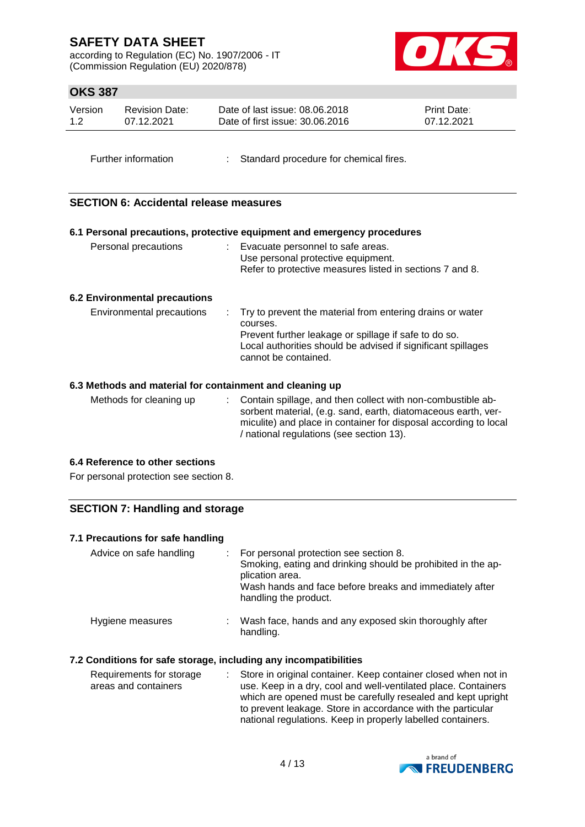according to Regulation (EC) No. 1907/2006 - IT (Commission Regulation (EU) 2020/878)



## **OKS 387**

| Version | Revision Date: | Date of last issue: 08.06.2018  | <b>Print Date:</b> |
|---------|----------------|---------------------------------|--------------------|
| 1.2     | 07.12.2021     | Date of first issue: 30.06.2016 | 07.12.2021         |
|         |                |                                 |                    |

Further information : Standard procedure for chemical fires.

## **SECTION 6: Accidental release measures**

|                                      | 6.1 Personal precautions, protective equipment and emergency procedures                                                                                                                                                |
|--------------------------------------|------------------------------------------------------------------------------------------------------------------------------------------------------------------------------------------------------------------------|
| Personal precautions                 | Evacuate personnel to safe areas.<br>Use personal protective equipment.<br>Refer to protective measures listed in sections 7 and 8.                                                                                    |
| <b>6.2 Environmental precautions</b> |                                                                                                                                                                                                                        |
| Environmental precautions            | Try to prevent the material from entering drains or water<br>courses.<br>Prevent further leakage or spillage if safe to do so.<br>Local authorities should be advised if significant spillages<br>cannot be contained. |

## **6.3 Methods and material for containment and cleaning up**

| Methods for cleaning up | : Contain spillage, and then collect with non-combustible ab-    |
|-------------------------|------------------------------------------------------------------|
|                         | sorbent material, (e.g. sand, earth, diatomaceous earth, ver-    |
|                         | miculite) and place in container for disposal according to local |
|                         | / national regulations (see section 13).                         |

## **6.4 Reference to other sections**

For personal protection see section 8.

## **SECTION 7: Handling and storage**

| 7.1 Precautions for safe handling                                |                                                                                                                                                                                                               |
|------------------------------------------------------------------|---------------------------------------------------------------------------------------------------------------------------------------------------------------------------------------------------------------|
| Advice on safe handling                                          | For personal protection see section 8.<br>Smoking, eating and drinking should be prohibited in the ap-<br>plication area.<br>Wash hands and face before breaks and immediately after<br>handling the product. |
| Hygiene measures                                                 | : Wash face, hands and any exposed skin thoroughly after<br>handling.                                                                                                                                         |
| 7.2 Conditions for safe storage, including any incompatibilities |                                                                                                                                                                                                               |
| Requirements for storage<br>÷.<br>areas and containers           | Store in original container. Keep container closed when not in<br>use. Keep in a dry, cool and well-ventilated place. Containers                                                                              |

which are opened must be carefully resealed and kept upright to prevent leakage. Store in accordance with the particular national regulations. Keep in properly labelled containers.

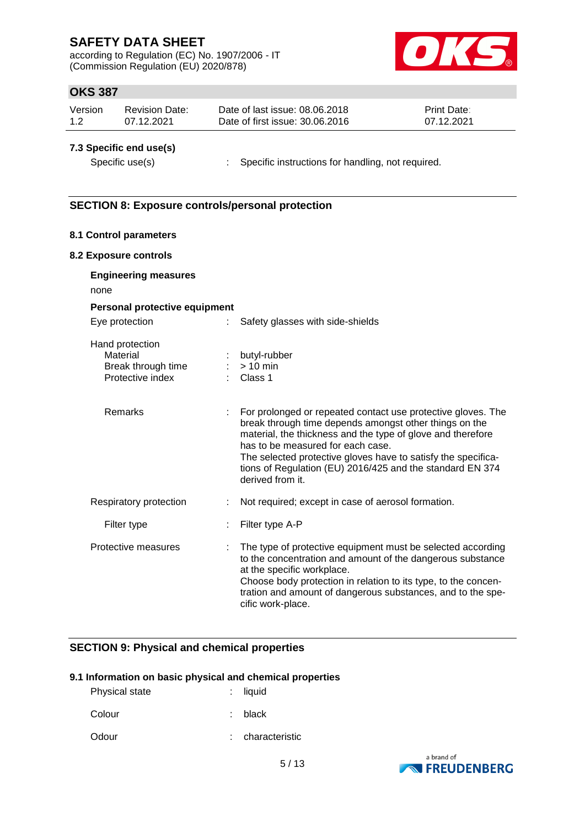according to Regulation (EC) No. 1907/2006 - IT (Commission Regulation (EU) 2020/878)



## **OKS 387**

| Version | Revision Date: | Date of last issue: 08.06.2018  | <b>Print Date:</b> |
|---------|----------------|---------------------------------|--------------------|
| 1.2     | 07.12.2021     | Date of first issue: 30.06.2016 | 07.12.2021         |

## **7.3 Specific end use(s)**

Specific use(s) : Specific instructions for handling, not required.

## **SECTION 8: Exposure controls/personal protection**

## **8.1 Control parameters**

#### **8.2 Exposure controls**

| <b>Engineering measures</b><br>none                                   |   |                                                                                                                                                                                                                                                                                                                                                                              |
|-----------------------------------------------------------------------|---|------------------------------------------------------------------------------------------------------------------------------------------------------------------------------------------------------------------------------------------------------------------------------------------------------------------------------------------------------------------------------|
| Personal protective equipment                                         |   |                                                                                                                                                                                                                                                                                                                                                                              |
| Eye protection                                                        |   | Safety glasses with side-shields                                                                                                                                                                                                                                                                                                                                             |
| Hand protection<br>Material<br>Break through time<br>Protective index |   | butyl-rubber<br>$:$ > 10 min<br>Class 1                                                                                                                                                                                                                                                                                                                                      |
| Remarks                                                               |   | For prolonged or repeated contact use protective gloves. The<br>break through time depends amongst other things on the<br>material, the thickness and the type of glove and therefore<br>has to be measured for each case.<br>The selected protective gloves have to satisfy the specifica-<br>tions of Regulation (EU) 2016/425 and the standard EN 374<br>derived from it. |
| Respiratory protection                                                | ÷ | Not required; except in case of aerosol formation.                                                                                                                                                                                                                                                                                                                           |
| Filter type                                                           |   | Filter type A-P                                                                                                                                                                                                                                                                                                                                                              |
| Protective measures                                                   |   | The type of protective equipment must be selected according<br>to the concentration and amount of the dangerous substance<br>at the specific workplace.<br>Choose body protection in relation to its type, to the concen-<br>tration and amount of dangerous substances, and to the spe-<br>cific work-place.                                                                |

## **SECTION 9: Physical and chemical properties**

#### **9.1 Information on basic physical and chemical properties**

| <b>Physical state</b> | $:$ liquid |
|-----------------------|------------|
| Colour                | : black    |

Odour : characteristic

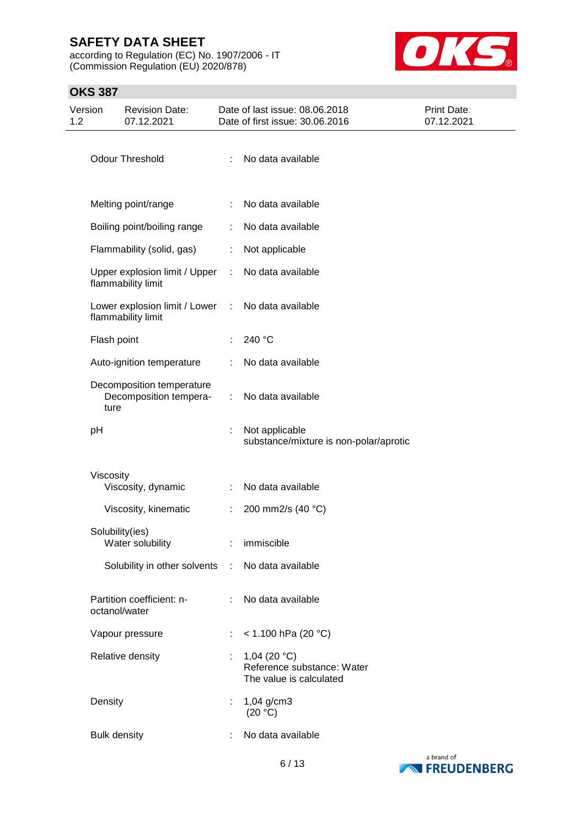according to Regulation (EC) No. 1907/2006 - IT (Commission Regulation (EU) 2020/878)



## **OKS 387**

| Version<br>1.2 |             | <b>Revision Date:</b><br>07.12.2021                 |            | Date of last issue: 08.06.2018<br>Date of first issue: 30.06.2016               | <b>Print Date:</b><br>07.12.2021 |
|----------------|-------------|-----------------------------------------------------|------------|---------------------------------------------------------------------------------|----------------------------------|
|                |             | <b>Odour Threshold</b>                              | ÷.         | No data available                                                               |                                  |
|                |             | Melting point/range                                 |            | No data available                                                               |                                  |
|                |             | Boiling point/boiling range                         |            | No data available                                                               |                                  |
|                |             | Flammability (solid, gas)                           | ÷          | Not applicable                                                                  |                                  |
|                |             | Upper explosion limit / Upper<br>flammability limit | ÷.         | No data available                                                               |                                  |
|                |             | Lower explosion limit / Lower<br>flammability limit | $\sim 100$ | No data available                                                               |                                  |
|                | Flash point |                                                     |            | 240 °C                                                                          |                                  |
|                |             | Auto-ignition temperature                           |            | No data available                                                               |                                  |
|                | ture        | Decomposition temperature<br>Decomposition tempera- |            | No data available                                                               |                                  |
|                | pH          |                                                     | t.         | Not applicable<br>substance/mixture is non-polar/aprotic                        |                                  |
|                | Viscosity   | Viscosity, dynamic                                  |            | No data available                                                               |                                  |
|                |             | Viscosity, kinematic                                | ÷.         | 200 mm2/s (40 °C)                                                               |                                  |
|                |             | Solubility(ies)<br>Water solubility                 |            | : immiscible                                                                    |                                  |
|                |             | Solubility in other solvents : No data available    |            |                                                                                 |                                  |
|                |             | Partition coefficient: n-<br>octanol/water          |            | No data available                                                               |                                  |
|                |             | Vapour pressure                                     |            | $<$ 1.100 hPa (20 °C)                                                           |                                  |
|                |             | Relative density                                    |            | 1,04 (20 $^{\circ}$ C)<br>Reference substance: Water<br>The value is calculated |                                  |
|                | Density     |                                                     |            | $1,04$ g/cm3<br>(20 °C)                                                         |                                  |
|                |             | <b>Bulk density</b>                                 |            | No data available                                                               |                                  |

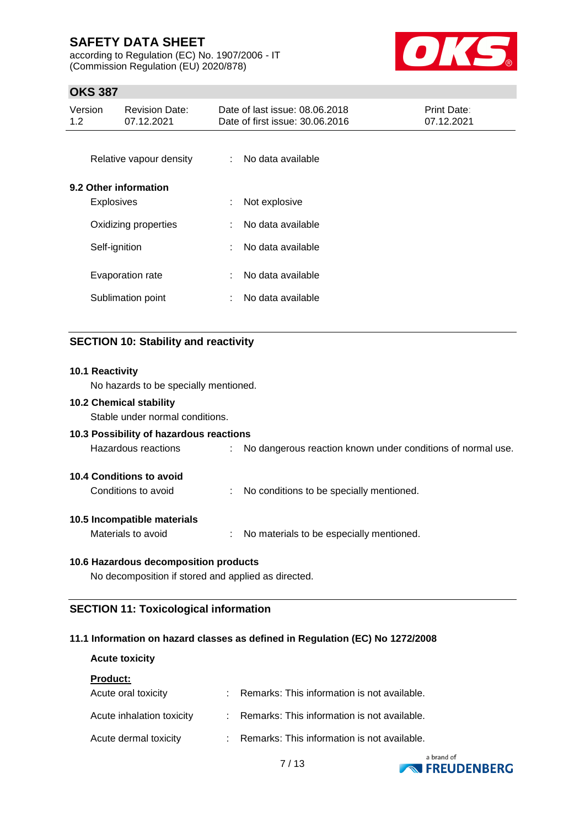according to Regulation (EC) No. 1907/2006 - IT (Commission Regulation (EU) 2020/878)



## **OKS 387**

| Version<br><b>Revision Date:</b><br>1.2 <sub>1</sub><br>07.12.2021 |                   | Date of last issue: 08.06.2018<br>Date of first issue: 30.06.2016 |    |                   | <b>Print Date:</b><br>07.12.2021 |  |
|--------------------------------------------------------------------|-------------------|-------------------------------------------------------------------|----|-------------------|----------------------------------|--|
|                                                                    |                   | Relative vapour density                                           | ÷  | No data available |                                  |  |
|                                                                    |                   | 9.2 Other information                                             |    |                   |                                  |  |
|                                                                    | <b>Explosives</b> |                                                                   | ÷. | Not explosive     |                                  |  |
|                                                                    |                   | Oxidizing properties                                              | ÷  | No data available |                                  |  |
|                                                                    | Self-ignition     |                                                                   |    | No data available |                                  |  |
|                                                                    |                   | Evaporation rate                                                  |    | No data available |                                  |  |
|                                                                    |                   | Sublimation point                                                 | ÷  | No data available |                                  |  |
|                                                                    |                   |                                                                   |    |                   |                                  |  |

## **SECTION 10: Stability and reactivity**

# **10.1 Reactivity** No hazards to be specially mentioned. **10.2 Chemical stability** Stable under normal conditions. **10.3 Possibility of hazardous reactions** Hazardous reactions : No dangerous reaction known under conditions of normal use. **10.4 Conditions to avoid** Conditions to avoid : No conditions to be specially mentioned. **10.5 Incompatible materials** Materials to avoid : No materials to be especially mentioned. **10.6 Hazardous decomposition products** No decomposition if stored and applied as directed.

## **SECTION 11: Toxicological information**

## **11.1 Information on hazard classes as defined in Regulation (EC) No 1272/2008**

# **Acute toxicity Product:** Acute oral toxicity : Remarks: This information is not available. Acute inhalation toxicity : Remarks: This information is not available. Acute dermal toxicity : Remarks: This information is not available.

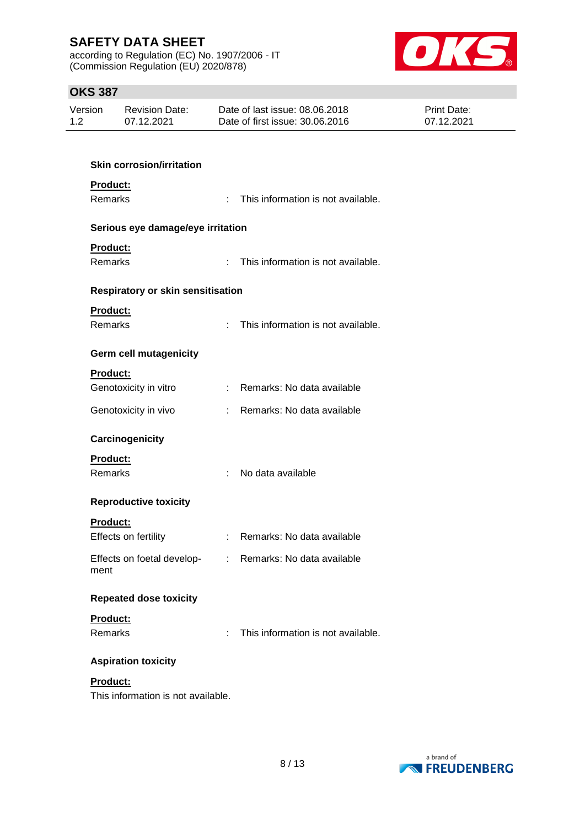according to Regulation (EC) No. 1907/2006 - IT (Commission Regulation (EU) 2020/878)



## **OKS 387**

| Version | Revision Date: | Date of last issue: 08.06.2018  | <b>Print Date:</b> |
|---------|----------------|---------------------------------|--------------------|
| 1.2     | 07.12.2021     | Date of first issue: 30.06.2016 | 07.12.2021         |

| <b>Skin corrosion/irritation</b>   |                             |                                      |  |  |  |  |  |  |  |
|------------------------------------|-----------------------------|--------------------------------------|--|--|--|--|--|--|--|
| Product:<br>Remarks                | ÷.                          | This information is not available.   |  |  |  |  |  |  |  |
| Serious eye damage/eye irritation  |                             |                                      |  |  |  |  |  |  |  |
| Product:<br><b>Remarks</b>         | $\mathbf{r}_{\mathrm{max}}$ | This information is not available.   |  |  |  |  |  |  |  |
| Respiratory or skin sensitisation  |                             |                                      |  |  |  |  |  |  |  |
| Product:                           |                             |                                      |  |  |  |  |  |  |  |
| <b>Remarks</b>                     |                             | : This information is not available. |  |  |  |  |  |  |  |
| <b>Germ cell mutagenicity</b>      |                             |                                      |  |  |  |  |  |  |  |
| Product:                           |                             |                                      |  |  |  |  |  |  |  |
| Genotoxicity in vitro              |                             | : Remarks: No data available         |  |  |  |  |  |  |  |
| Genotoxicity in vivo               |                             | : Remarks: No data available         |  |  |  |  |  |  |  |
| Carcinogenicity                    |                             |                                      |  |  |  |  |  |  |  |
| Product:                           |                             |                                      |  |  |  |  |  |  |  |
| <b>Remarks</b>                     |                             | No data available                    |  |  |  |  |  |  |  |
|                                    | t.                          |                                      |  |  |  |  |  |  |  |
| <b>Reproductive toxicity</b>       |                             |                                      |  |  |  |  |  |  |  |
| Product:                           |                             |                                      |  |  |  |  |  |  |  |
| Effects on fertility               | $\mathbb{R}^n$              | Remarks: No data available           |  |  |  |  |  |  |  |
| Effects on foetal develop-<br>ment |                             | : Remarks: No data available         |  |  |  |  |  |  |  |
| <b>Repeated dose toxicity</b>      |                             |                                      |  |  |  |  |  |  |  |
| Product:                           |                             |                                      |  |  |  |  |  |  |  |
| Remarks                            | f                           | This information is not available.   |  |  |  |  |  |  |  |
| <b>Aspiration toxicity</b>         |                             |                                      |  |  |  |  |  |  |  |
| Product:                           |                             |                                      |  |  |  |  |  |  |  |

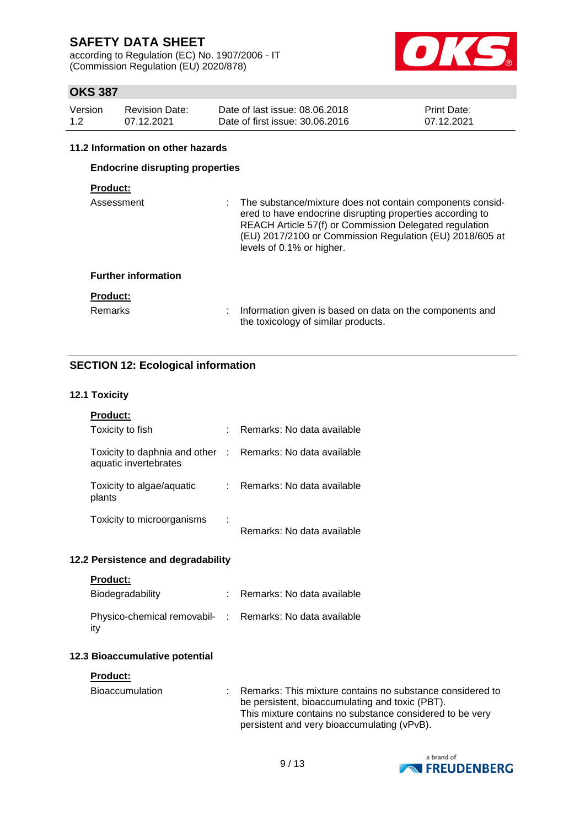according to Regulation (EC) No. 1907/2006 - IT (Commission Regulation (EU) 2020/878)



## **OKS 387**

| Version | <b>Revision Date:</b> | Date of last issue: 08.06.2018  | <b>Print Date:</b> |
|---------|-----------------------|---------------------------------|--------------------|
| 1.2     | 07.12.2021            | Date of first issue: 30.06.2016 | 07.12.2021         |

#### **11.2 Information on other hazards**

## **Endocrine disrupting properties**

## **Product:**

| Assessment                 | : The substance/mixture does not contain components consid-<br>ered to have endocrine disrupting properties according to<br>REACH Article 57(f) or Commission Delegated regulation<br>(EU) 2017/2100 or Commission Regulation (EU) 2018/605 at<br>levels of 0.1% or higher. |
|----------------------------|-----------------------------------------------------------------------------------------------------------------------------------------------------------------------------------------------------------------------------------------------------------------------------|
| <b>Further information</b> |                                                                                                                                                                                                                                                                             |
| <b>Product:</b>            |                                                                                                                                                                                                                                                                             |
| <b>Remarks</b>             | Information given is based on data on the components and<br>the toxicology of similar products.                                                                                                                                                                             |

## **SECTION 12: Ecological information**

#### **12.1 Toxicity**

| <b>Product:</b>                                                                     |                            |
|-------------------------------------------------------------------------------------|----------------------------|
| Toxicity to fish                                                                    | Remarks: No data available |
| Toxicity to daphnia and other : Remarks: No data available<br>aquatic invertebrates |                            |
| Toxicity to algae/aguatic<br>plants                                                 | Remarks: No data available |
| Toxicity to microorganisms                                                          | Remarks: No data available |

## **12.2 Persistence and degradability**

| Product |  |  |
|---------|--|--|
|         |  |  |

| Biodegradability                                                 | Remarks: No data available |
|------------------------------------------------------------------|----------------------------|
| Physico-chemical removabil- : Remarks: No data available<br>∣it∨ |                            |

## **12.3 Bioaccumulative potential**

#### **Product:**

| Bioaccumulation | : Remarks: This mixture contains no substance considered to |
|-----------------|-------------------------------------------------------------|
|                 | be persistent, bioaccumulating and toxic (PBT).             |
|                 | This mixture contains no substance considered to be very    |
|                 | persistent and very bioaccumulating (vPvB).                 |

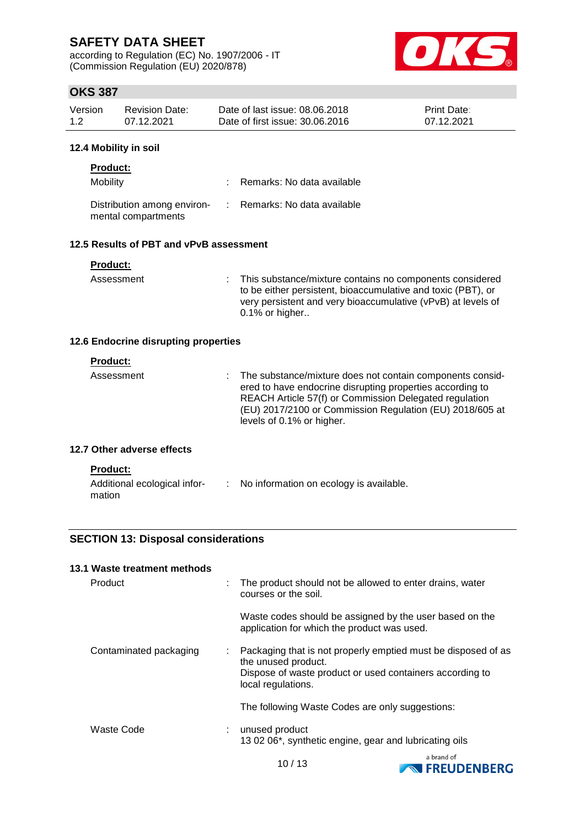according to Regulation (EC) No. 1907/2006 - IT (Commission Regulation (EU) 2020/878)



## **OKS 387**

| Version | Revision Date: | Date of last issue: 08.06.2018  | <b>Print Date:</b> |
|---------|----------------|---------------------------------|--------------------|
| 1.2     | 07.12.2021     | Date of first issue: 30.06.2016 | 07.12.2021         |

#### **12.4 Mobility in soil**

| <b>Product:</b>                                    |                              |
|----------------------------------------------------|------------------------------|
| Mobility                                           | : Remarks: No data available |
| Distribution among environ-<br>mental compartments | : Remarks: No data available |

## **12.5 Results of PBT and vPvB assessment**

| Product: |  |  |  |  |
|----------|--|--|--|--|
|          |  |  |  |  |

mation

Assessment : This substance/mixture contains no components considered to be either persistent, bioaccumulative and toxic (PBT), or very persistent and very bioaccumulative (vPvB) at levels of 0.1% or higher..

## **12.6 Endocrine disrupting properties**

| <b>Product:</b><br>Assessment                   | The substance/mixture does not contain components consid-<br>ered to have endocrine disrupting properties according to<br>REACH Article 57(f) or Commission Delegated regulation<br>(EU) 2017/2100 or Commission Regulation (EU) 2018/605 at<br>levels of 0.1% or higher. |
|-------------------------------------------------|---------------------------------------------------------------------------------------------------------------------------------------------------------------------------------------------------------------------------------------------------------------------------|
| 12.7 Other adverse effects                      |                                                                                                                                                                                                                                                                           |
| <b>Product:</b><br>Additional ecological infor- | No information on ecology is available.                                                                                                                                                                                                                                   |

**SECTION 13: Disposal considerations**

| 13.1 Waste treatment methods |   |                                                                                                                                                                        |
|------------------------------|---|------------------------------------------------------------------------------------------------------------------------------------------------------------------------|
| Product                      |   | The product should not be allowed to enter drains, water<br>courses or the soil.                                                                                       |
|                              |   | Waste codes should be assigned by the user based on the<br>application for which the product was used.                                                                 |
| Contaminated packaging       | ÷ | Packaging that is not properly emptied must be disposed of as<br>the unused product.<br>Dispose of waste product or used containers according to<br>local regulations. |
|                              |   | The following Waste Codes are only suggestions:                                                                                                                        |
| Waste Code                   | ÷ | unused product<br>13 02 06*, synthetic engine, gear and lubricating oils                                                                                               |

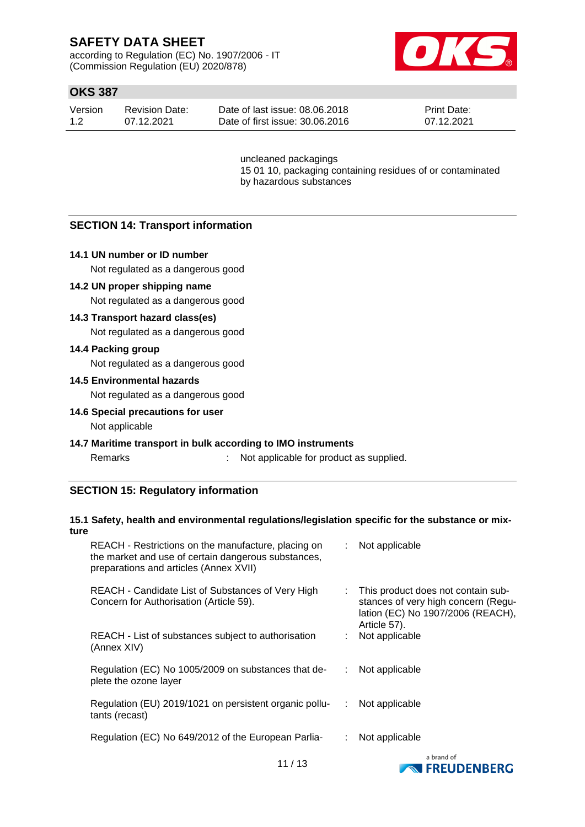according to Regulation (EC) No. 1907/2006 - IT (Commission Regulation (EU) 2020/878)



## **OKS 387**

| Version | <b>Revision Date:</b> | Date of last issue: 08.06.2018  | <b>Print Date:</b> |
|---------|-----------------------|---------------------------------|--------------------|
| 1.2     | 07.12.2021            | Date of first issue: 30.06.2016 | 07.12.2021         |

uncleaned packagings 15 01 10, packaging containing residues of or contaminated by hazardous substances

## **SECTION 14: Transport information**

## **14.1 UN number or ID number**

Not regulated as a dangerous good

#### **14.2 UN proper shipping name**

Not regulated as a dangerous good

## **14.3 Transport hazard class(es)**

Not regulated as a dangerous good

#### **14.4 Packing group**

Not regulated as a dangerous good

#### **14.5 Environmental hazards**

Not regulated as a dangerous good

#### **14.6 Special precautions for user**

Not applicable

#### **14.7 Maritime transport in bulk according to IMO instruments**

Remarks : Not applicable for product as supplied.

## **SECTION 15: Regulatory information**

## **15.1 Safety, health and environmental regulations/legislation specific for the substance or mixture**

| REACH - Restrictions on the manufacture, placing on<br>the market and use of certain dangerous substances,<br>preparations and articles (Annex XVII) |    | : Not applicable                                                                                                               |
|------------------------------------------------------------------------------------------------------------------------------------------------------|----|--------------------------------------------------------------------------------------------------------------------------------|
| REACH - Candidate List of Substances of Very High<br>Concern for Authorisation (Article 59).                                                         | t. | This product does not contain sub-<br>stances of very high concern (Regu-<br>lation (EC) No 1907/2006 (REACH),<br>Article 57). |
| REACH - List of substances subject to authorisation<br>(Annex XIV)                                                                                   |    | Not applicable                                                                                                                 |
| Regulation (EC) No 1005/2009 on substances that de-<br>plete the ozone layer                                                                         |    | Not applicable                                                                                                                 |
| Regulation (EU) 2019/1021 on persistent organic pollu-<br>tants (recast)                                                                             |    | Not applicable                                                                                                                 |
| Regulation (EC) No 649/2012 of the European Parlia-                                                                                                  |    | Not applicable                                                                                                                 |
|                                                                                                                                                      |    | a hrand of                                                                                                                     |

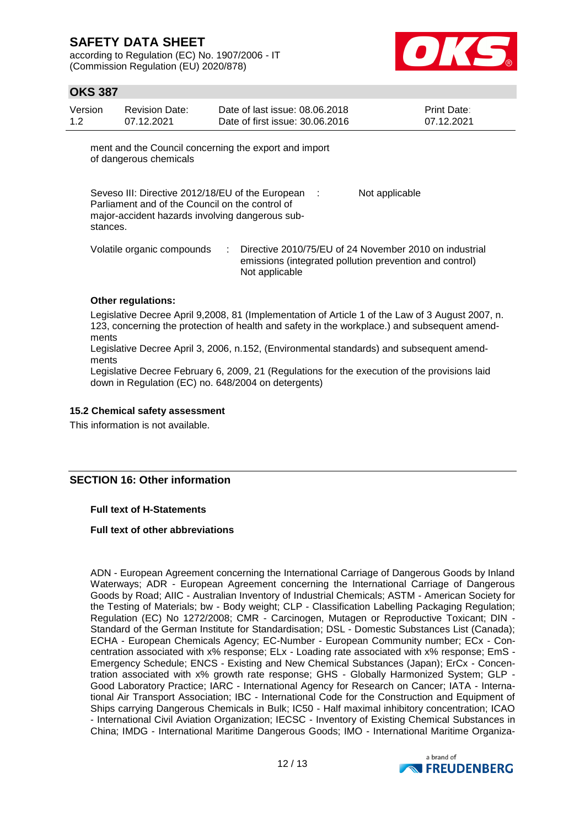according to Regulation (EC) No. 1907/2006 - IT (Commission Regulation (EU) 2020/878)



## **OKS 387**

| Version | Revision Date: | Date of last issue: 08.06.2018  | <b>Print Date:</b> |
|---------|----------------|---------------------------------|--------------------|
| 1.2     | 07.12.2021     | Date of first issue: 30.06.2016 | 07.12.2021         |

ment and the Council concerning the export and import of dangerous chemicals

Seveso III: Directive 2012/18/EU of the European : Parliament and of the Council on the control of major-accident hazards involving dangerous substances. Not applicable

Volatile organic compounds : Directive 2010/75/EU of 24 November 2010 on industrial emissions (integrated pollution prevention and control) Not applicable

## **Other regulations:**

Legislative Decree April 9,2008, 81 (Implementation of Article 1 of the Law of 3 August 2007, n. 123, concerning the protection of health and safety in the workplace.) and subsequent amendments

Legislative Decree April 3, 2006, n.152, (Environmental standards) and subsequent amendments

Legislative Decree February 6, 2009, 21 (Regulations for the execution of the provisions laid down in Regulation (EC) no. 648/2004 on detergents)

#### **15.2 Chemical safety assessment**

This information is not available.

## **SECTION 16: Other information**

**Full text of H-Statements**

#### **Full text of other abbreviations**

ADN - European Agreement concerning the International Carriage of Dangerous Goods by Inland Waterways; ADR - European Agreement concerning the International Carriage of Dangerous Goods by Road; AIIC - Australian Inventory of Industrial Chemicals; ASTM - American Society for the Testing of Materials; bw - Body weight; CLP - Classification Labelling Packaging Regulation; Regulation (EC) No 1272/2008; CMR - Carcinogen, Mutagen or Reproductive Toxicant; DIN - Standard of the German Institute for Standardisation; DSL - Domestic Substances List (Canada); ECHA - European Chemicals Agency; EC-Number - European Community number; ECx - Concentration associated with x% response; ELx - Loading rate associated with x% response; EmS - Emergency Schedule; ENCS - Existing and New Chemical Substances (Japan); ErCx - Concentration associated with x% growth rate response; GHS - Globally Harmonized System; GLP - Good Laboratory Practice; IARC - International Agency for Research on Cancer; IATA - International Air Transport Association; IBC - International Code for the Construction and Equipment of Ships carrying Dangerous Chemicals in Bulk; IC50 - Half maximal inhibitory concentration; ICAO - International Civil Aviation Organization; IECSC - Inventory of Existing Chemical Substances in China; IMDG - International Maritime Dangerous Goods; IMO - International Maritime Organiza-